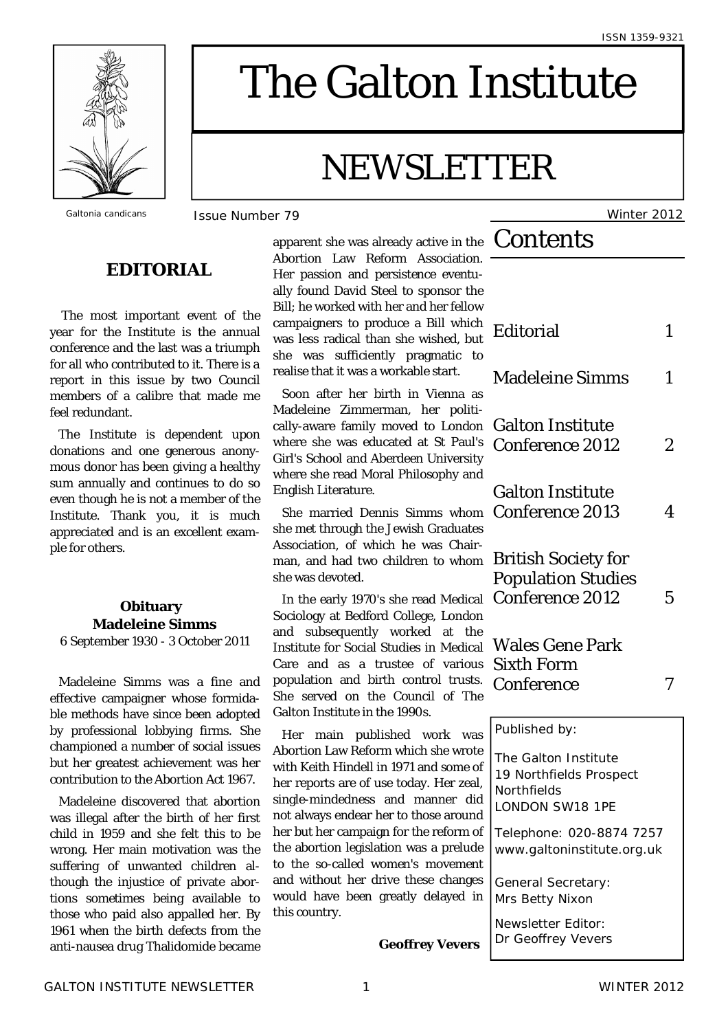

# The Galton Institute

# NEWSLETTER

*Galtonia candicans* Issue Number 79 Winter 2012

### **EDITORIAL**

 The most important event of the year for the Institute is the annual conference and the last was a triumph for all who contributed to it. There is a report in this issue by two Council members of a calibre that made me feel redundant.

The Institute is dependent upon donations and one generous anonymous donor has been giving a healthy sum annually and continues to do so even though he is not a member of the Institute. Thank you, it is much appreciated and is an excellent example for others.

## **Obituary Madeleine Simms**

6 September 1930 - 3 October 2011

Madeleine Simms was a fine and effective campaigner whose formidable methods have since been adopted by professional lobbying firms. She championed a number of social issues but her greatest achievement was her contribution to the Abortion Act 1967.

Madeleine discovered that abortion was illegal after the birth of her first child in 1959 and she felt this to be wrong. Her main motivation was the suffering of unwanted children although the injustice of private abortions sometimes being available to those who paid also appalled her. By 1961 when the birth defects from the anti-nausea drug Thalidomide became

**Contents** apparent she was already active in the Abortion Law Reform Association. Her passion and persistence eventually found David Steel to sponsor the Bill; he worked with her and her fellow campaigners to produce a Bill which was less radical than she wished, but she was sufficiently pragmatic to realise that it was a workable start.

Soon after her birth in Vienna as Madeleine Zimmerman, her politically-aware family moved to London where she was educated at St Paul's Girl's School and Aberdeen University where she read Moral Philosophy and English Literature.

She married Dennis Simms whom she met through the Jewish Graduates Association, of which he was Chairman, and had two children to whom she was devoted.

In the early 1970's she read Medical Sociology at Bedford College, London and subsequently worked at the Institute for Social Studies in Medical Care and as a trustee of various population and birth control trusts. She served on the Council of The Galton Institute in the 1990s.

Her main published work was Abortion Law Reform which she wrote with Keith Hindell in 1971 and some of her reports are of use today. Her zeal, single-mindedness and manner did not always endear her to those around her but her campaign for the reform of the abortion legislation was a prelude to the so-called women's movement and without her drive these changes would have been greatly delayed in this country.

| Editorial                                                                         | 1 |
|-----------------------------------------------------------------------------------|---|
| <b>Madeleine Simms</b>                                                            | 1 |
| <b>Galton Institute</b><br>Conference 2012                                        | 2 |
| <b>Galton Institute</b><br>Conference 2013                                        | 4 |
| British Society for<br><b>Population Studies</b><br>Conference 2012               | 5 |
| <b>Wales Gene Park</b><br><b>Sixth Form</b><br>Conference                         | 7 |
| Published by:                                                                     |   |
| The Galton Institute<br>19 Northfields Prospect<br>Northfields<br>LONDON SW18 1PE |   |
| Telephone: 020-8874 7257<br>www.galtoninstitute.org.uk                            |   |
| General Secretary:                                                                |   |

Mrs Betty Nixon

Newsletter Editor: Dr Geoffrey Vevers

**Geoffrey Vevers**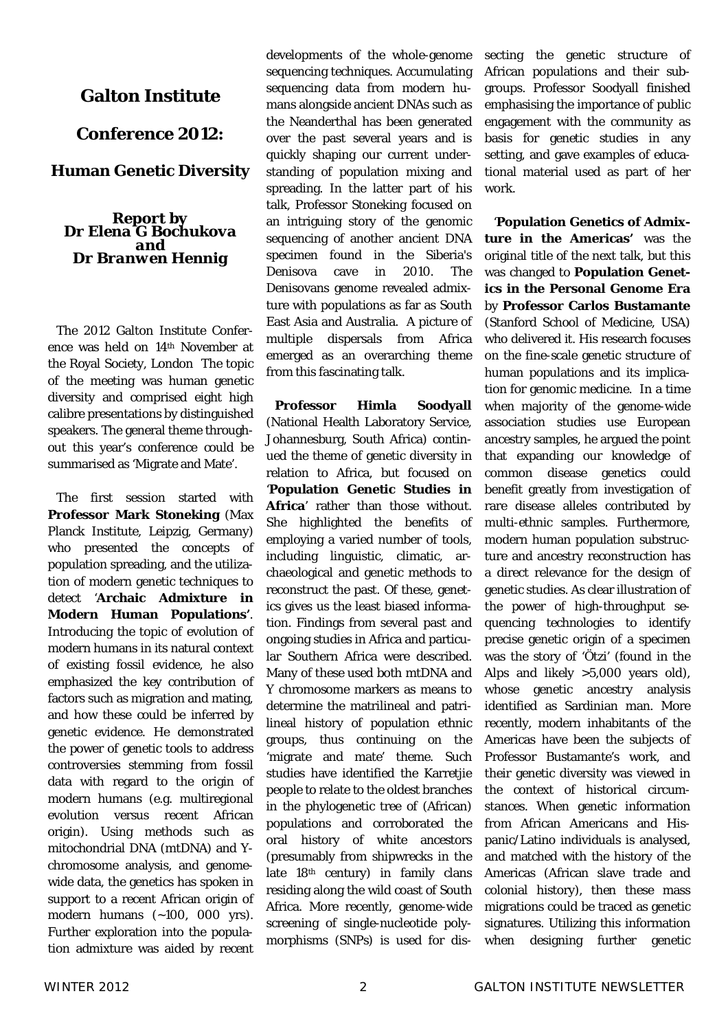#### **Galton Institute**

#### **Conference 2012:**

#### **Human Genetic Diversity**

#### *Report by Dr Elena G Bochukova and Dr Branwen Hennig*

The 2012 Galton Institute Conference was held on 14th November at the Royal Society, London The topic of the meeting was human genetic diversity and comprised eight high calibre presentations by distinguished speakers. The general theme throughout this year's conference could be summarised as 'Migrate and Mate'.

The first session started with **Professor Mark Stoneking** (Max Planck Institute, Leipzig, Germany) who presented the concepts of population spreading, and the utilization of modern genetic techniques to detect '**Archaic Admixture in Modern Human Populations'**. Introducing the topic of evolution of modern humans in its natural context of existing fossil evidence, he also emphasized the key contribution of factors such as migration and mating, and how these could be inferred by genetic evidence. He demonstrated the power of genetic tools to address controversies stemming from fossil data with regard to the origin of modern humans (e.g. multiregional evolution versus recent African origin). Using methods such as mitochondrial DNA (mtDNA) and Ychromosome analysis, and genomewide data, the genetics has spoken in support to a recent African origin of modern humans (~100, 000 yrs). Further exploration into the population admixture was aided by recent developments of the whole-genome sequencing techniques. Accumulating sequencing data from modern humans alongside ancient DNAs such as the Neanderthal has been generated over the past several years and is quickly shaping our current understanding of population mixing and spreading. In the latter part of his talk, Professor Stoneking focused on an intriguing story of the genomic sequencing of another ancient DNA specimen found in the Siberia's Denisova cave in 2010. The Denisovans genome revealed admixture with populations as far as South East Asia and Australia. A picture of multiple dispersals from Africa emerged as an overarching theme from this fascinating talk.

**Professor Himla Soodyall**  (National Health Laboratory Service, Johannesburg, South Africa) continued the theme of genetic diversity in relation to Africa, but focused on '**Population Genetic Studies in Africa**' rather than those without. She highlighted the benefits of employing a varied number of tools, including linguistic, climatic, archaeological and genetic methods to reconstruct the past. Of these, genetics gives us the least biased information. Findings from several past and ongoing studies in Africa and particular Southern Africa were described. Many of these used both mtDNA and Y chromosome markers as means to determine the matrilineal and patrilineal history of population ethnic groups, thus continuing on the 'migrate and mate' theme. Such studies have identified the Karretije people to relate to the oldest branches in the phylogenetic tree of (African) populations and corroborated the oral history of white ancestors (presumably from shipwrecks in the late 18<sup>th</sup> century) in family clans residing along the wild coast of South Africa. More recently, genome-wide screening of single-nucleotide polymorphisms (SNPs) is used for dis-

secting the genetic structure of African populations and their subgroups. Professor Soodyall finished emphasising the importance of public engagement with the community as basis for genetic studies in any setting, and gave examples of educational material used as part of her work.

'**Population Genetics of Admixture in the Americas'** was the original title of the next talk, but this was changed to **Population Genetics in the Personal Genome Era**  by **Professor Carlos Bustamante** (Stanford School of Medicine, USA) who delivered it. His research focuses on the fine-scale genetic structure of human populations and its implication for genomic medicine. In a time when majority of the genome-wide association studies use European ancestry samples, he argued the point that expanding our knowledge of common disease genetics could benefit greatly from investigation of rare disease alleles contributed by multi-ethnic samples. Furthermore, modern human population substructure and ancestry reconstruction has a direct relevance for the design of genetic studies. As clear illustration of the power of high-throughput sequencing technologies to identify precise genetic origin of a specimen was the story of 'Ötzi' (found in the Alps and likely >5,000 years old), whose genetic ancestry analysis identified as Sardinian man. More recently, modern inhabitants of the Americas have been the subjects of Professor Bustamante's work, and their genetic diversity was viewed in the context of historical circumstances. When genetic information from African Americans and Hispanic/Latino individuals is analysed, and matched with the history of the Americas (African slave trade and colonial history), then these mass migrations could be traced as genetic signatures. Utilizing this information when designing further genetic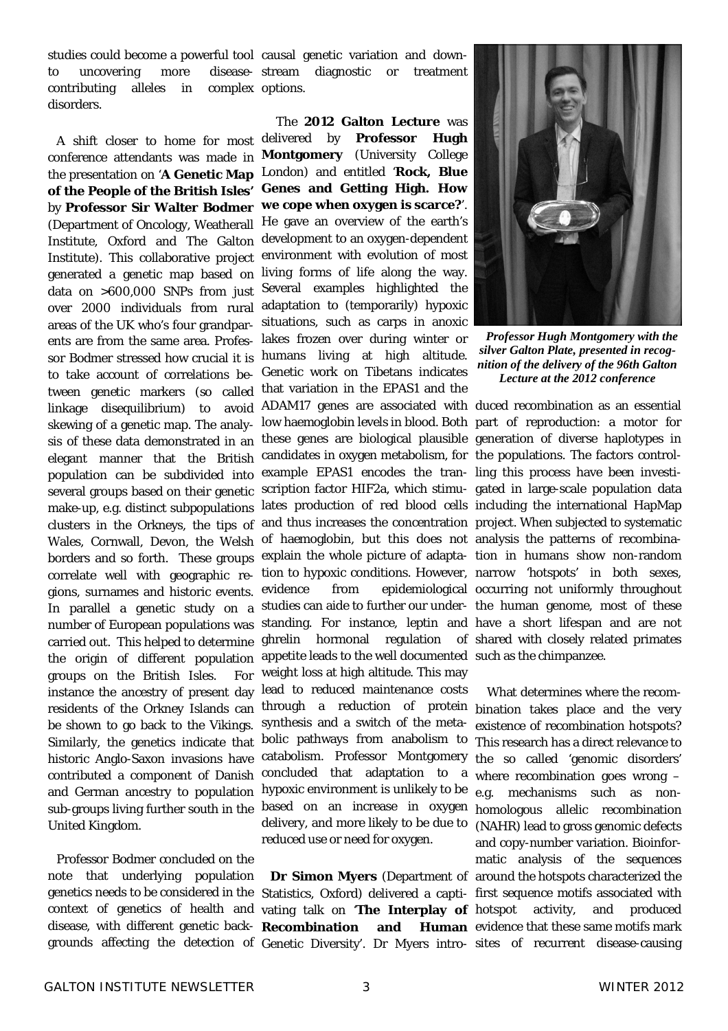studies could become a powerful tool causal genetic variation and downto uncovering more contributing alleles in disorders. complex options.

conference attendants was made in **Montgomery** (University College the presentation on '**A Genetic Map**  London) and entitled '**Rock, Blue of the People of the British Isles'**  by **Professor Sir Walter Bodmer**  (Department of Oncology, Weatherall Institute, Oxford and The Galton Institute). This collaborative project generated a genetic map based on data on >600,000 SNPs from just over 2000 individuals from rural areas of the UK who's four grandparents are from the same area. Professor Bodmer stressed how crucial it is to take account of correlations between genetic markers (so called linkage disequilibrium) to avoid skewing of a genetic map. The analysis of these data demonstrated in an elegant manner that the British population can be subdivided into several groups based on their genetic make-up, e.g. distinct subpopulations clusters in the Orkneys, the tips of Wales, Cornwall, Devon, the Welsh borders and so forth. These groups correlate well with geographic regions, surnames and historic events. In parallel a genetic study on a studies can aide to further our under- the human genome, most of these number of European populations was carried out. This helped to determine the origin of different population groups on the British Isles. For instance the ancestry of present day residents of the Orkney Islands can be shown to go back to the Vikings. Similarly, the genetics indicate that historic Anglo-Saxon invasions have contributed a component of Danish and German ancestry to population sub-groups living further south in the United Kingdom.

 Professor Bodmer concluded on the note that underlying population context of genetics of health and vating talk on '**The Interplay of**  grounds affecting the detection of Genetic Diversity'. Dr Myers intro-sites of recurrent disease-causing

disease- stream diagnostic or treatment

A shift closer to home for most delivered by **Professor Hugh**  The **2012 Galton Lecture** was **Genes and Getting High. How we cope when oxygen is scarce?**'. He gave an overview of the earth's development to an oxygen-dependent environment with evolution of most living forms of life along the way. Several examples highlighted the adaptation to (temporarily) hypoxic situations, such as carps in anoxic lakes frozen over during winter or humans living at high altitude. Genetic work on Tibetans indicates that variation in the EPAS1 and the ADAM17 genes are associated with duced recombination as an essential low haemoglobin levels in blood. Both part of reproduction: a motor for these genes are biological plausible generation of diverse haplotypes in candidates in oxygen metabolism, for the populations. The factors controlexample EPAS1 encodes the tran-ling this process have been investiscription factor HIF2a, which stimu-gated in large-scale population data lates production of red blood cells including the international HapMap and thus increases the concentration project. When subjected to systematic of haemoglobin, but this does not analysis the patterns of recombinaexplain the whole picture of adapta-tion in humans show non-random tion to hypoxic conditions. However, narrow 'hotspots' in both sexes, evidence from epidemiological occurring not uniformly throughout standing. For instance, leptin and have a short lifespan and are not ghrelin hormonal regulation of shared with closely related primates appetite leads to the well documented such as the chimpanzee. weight loss at high altitude. This may lead to reduced maintenance costs through a reduction of protein bination takes place and the very synthesis and a switch of the metabolic pathways from anabolism to catabolism. Professor Montgomery concluded that adaptation to a hypoxic environment is unlikely to be based on an increase in oxygen delivery, and more likely to be due to reduced use or need for oxygen.



*Professor Hugh Montgomery with the silver Galton Plate, presented in recognition of the delivery of the 96th Galton Lecture at the 2012 conference* 

genetics needs to be considered in the Statistics, Oxford) delivered a capti-first sequence motifs associated with disease, with different genetic back-**Recombination and Human** evidence that these same motifs mark **Dr Simon Myers** (Department of around the hotspots characterized the What determines where the recomexistence of recombination hotspots? This research has a direct relevance to the so called 'genomic disorders' where recombination goes wrong – e.g. mechanisms such as nonhomologous allelic recombination (NAHR) lead to gross genomic defects and copy-number variation. Bioinformatic analysis of the sequences activity, and produced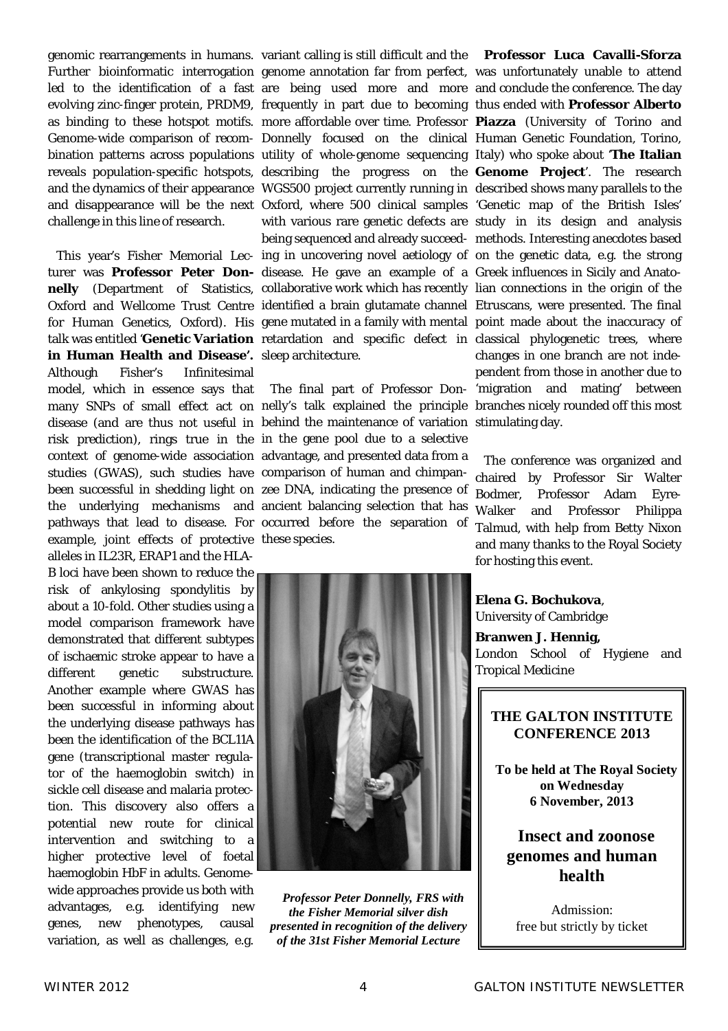genomic rearrangements in humans. variant calling is still difficult and the challenge in this line of research.

in Human Health and Disease'. sleep architecture. Although Fisher's Infinitesimal studies (GWAS), such studies have comparison of human and chimpanexample, joint effects of protective these species. alleles in IL23R, ERAP1 and the HLA-

B loci have been shown to reduce the risk of ankylosing spondylitis by about a 10-fold. Other studies using a model comparison framework have demonstrated that different subtypes of ischaemic stroke appear to have a different genetic substructure. Another example where GWAS has been successful in informing about the underlying disease pathways has been the identification of the *BCL11A* gene (transcriptional master regulator of the haemoglobin switch) in sickle cell disease and malaria protection. This discovery also offers a potential new route for clinical intervention and switching to a higher protective level of foetal haemoglobin HbF in adults. Genomewide approaches provide us both with advantages, e.g. identifying new genes, new phenotypes, causal variation, as well as challenges, e.g.

turer was **Professor Peter Don-**disease. He gave an example of a Greek influences in Sicily and Anato-

model, which in essence says that The final part of Professor Don-'migration and mating' between many SNPs of small effect act on nelly's talk explained the principle branches nicely rounded off this most disease (and are thus not useful in behind the maintenance of variation stimulating day. risk prediction), rings true in the in the gene pool due to a selective context of genome-wide association advantage, and presented data from a been successful in shedding light on zee DNA, indicating the presence of the underlying mechanisms and ancient balancing selection that has pathways that lead to disease. For occurred before the separation of

Further bioinformatic interrogation genome annotation far from perfect, was unfortunately unable to attend led to the identification of a fast are being used more and more and conclude the conference. The day evolving zinc-finger protein, PRDM9, frequently in part due to becoming thus ended with **Professor Alberto**  as binding to these hotspot motifs. more affordable over time. Professor **Piazza** (University of Torino and Genome-wide comparison of recom- Donnelly focused on the clinical Human Genetic Foundation, Torino, bination patterns across populations utility of whole-genome sequencing Italy) who spoke about 'The Italian reveals population-specific hotspots, describing the progress on the Genome Project'. The research and the dynamics of their appearance WGS500 project currently running in described shows many parallels to the and disappearance will be the next Oxford, where 500 clinical samples 'Genetic map of the British Isles' This year's Fisher Memorial Lec- ing in uncovering novel aetiology of on the genetic data, e.g. the strong nelly (Department of Statistics, collaborative work which has recently lian connections in the origin of the Oxford and Wellcome Trust Centre identified a brain glutamate channel Etruscans, were presented. The final for Human Genetics, Oxford). His gene mutated in a family with mental point made about the inaccuracy of talk was entitled '**Genetic Variation** retardation and specific defect in classical phylogenetic trees, where with various rare genetic defects are study in its design and analysis being sequenced and already succeed-methods. Interesting anecdotes based **Professor Luca Cavalli-Sforza**  changes in one branch are not independent from those in another due to

> The conference was organized and chaired by Professor Sir Walter Bodmer, Professor Adam Eyre-Walker and Professor Philippa Talmud, with help from Betty Nixon and many thanks to the Royal Society for hosting this event.



*Professor Peter Donnelly, FRS with the Fisher Memorial silver dish presented in recognition of the delivery of the 31st Fisher Memorial Lecture*

**Elena G. Bochukova**, University of Cambridge

**Branwen J. Hennig,**  London School of Hygiene and Tropical Medicine

#### **THE GALTON INSTITUTE CONFERENCE 2013**

**To be held at The Royal Society on Wednesday 6 November, 2013**

**Insect and zoonose genomes and human health**

Admission: free but strictly by ticket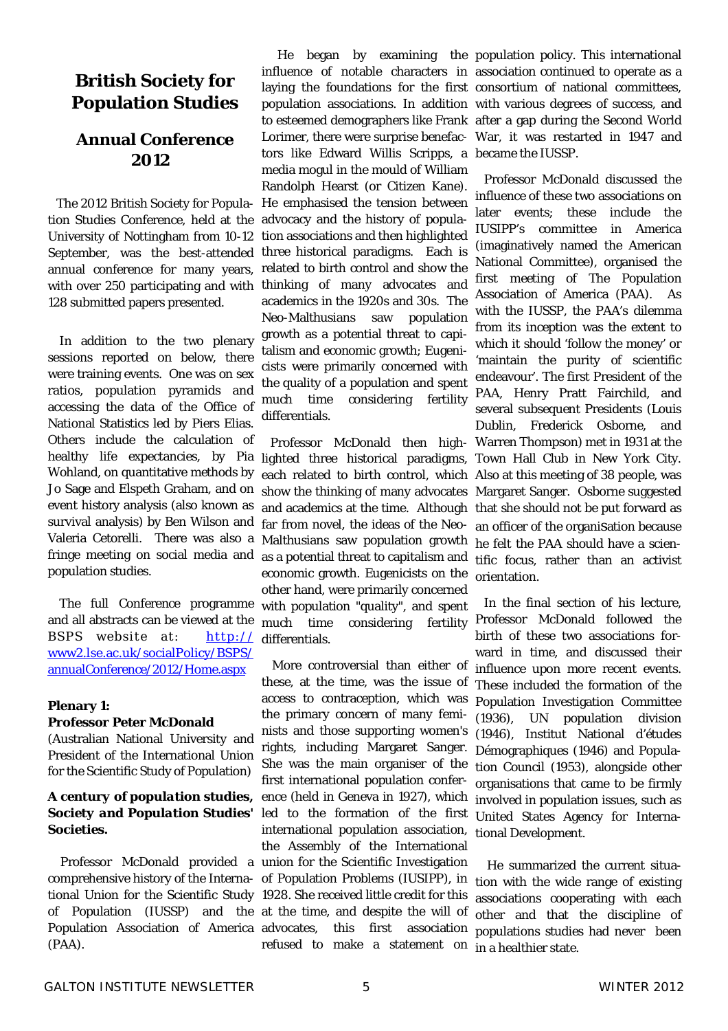### **British Society for Population Studies**

#### **Annual Conference 2012**

The 2012 British Society for Population Studies Conference, held at the University of Nottingham from 10-12 September, was the best-attended annual conference for many years, with over 250 participating and with 128 submitted papers presented.

 In addition to the two plenary sessions reported on below, there were training events. One was on sex ratios, population pyramids and accessing the data of the Office of National Statistics led by Piers Elias. Others include the calculation of healthy life expectancies, by Pia lighted three historical paradigms, Wohland, on quantitative methods by Jo Sage and Elspeth Graham, and on event history analysis (also known as survival analysis) by Ben Wilson and Valeria Cetorelli. There was also a fringe meeting on social media and population studies.

 The full Conference programme and all abstracts can be viewed at the BSPS website at: www2.lse.ac.uk/socialPolicy/BSPS/ annualConference/2012/Home.aspx

#### **Plenary 1:**

#### **Professor Peter McDonald**

(Australian National University and President of the International Union for the Scientific Study of Population)

#### *A century of population studies, Society and Population Studies' Societies.*

Professor McDonald provided a union for the Scientific Investigation comprehensive history of the Interna-of Population Problems (IUSIPP), in tional Union for the Scientific Study 1928. She received little credit for this of Population (IUSSP) and the at the time, and despite the will of Population Association of America advocates. (PAA).

influence of notable characters in association continued to operate as a laying the foundations for the first consortium of national committees, population associations. In addition with various degrees of success, and to esteemed demographers like Frank after a gap during the Second World Lorimer, there were surprise benefac-War, it was restarted in 1947 and tors like Edward Willis Scripps, a became the IUSSP. media mogul in the mould of William Randolph Hearst (or Citizen Kane). He emphasised the tension between advocacy and the history of population associations and then highlighted three historical paradigms. Each is related to birth control and show the thinking of many advocates and academics in the 1920s and 30s. The Neo-Malthusians saw population growth as a potential threat to capitalism and economic growth; Eugenicists were primarily concerned with the quality of a population and spent much time considering fertility differentials.

 Professor McDonald then higheach related to birth control, which show the thinking of many advocates and academics at the time. Although far from novel, the ideas of the Neo-Malthusians saw population growth as a potential threat to capitalism and economic growth. Eugenicists on the other hand, were primarily concerned with population "quality", and spent much time considering fertility http:// differentials.

> More controversial than either of these, at the time, was the issue of access to contraception, which was the primary concern of many feminists and those supporting women's rights, including Margaret Sanger. She was the main organiser of the first international population conference (held in Geneva in 1927), which led to the formation of the first international population association, the Assembly of the International this first association refused to make a statement on

He began by examining the population policy. This international

 Professor McDonald discussed the influence of these two associations on later events; these include the IUSIPP's committee in America (imaginatively named the American National Committee), organised the first meeting of The Population Association of America (PAA). As with the IUSSP, the PAA's dilemma from its inception was the extent to which it should 'follow the money' or 'maintain the purity of scientific endeavour'. The first President of the PAA, Henry Pratt Fairchild, and several subsequent Presidents (Louis Dublin, Frederick Osborne, and Warren Thompson) met in 1931 at the Town Hall Club in New York City. Also at this meeting of 38 people, was Margaret Sanger. Osborne suggested that she should not be put forward as an officer of the organisation because he felt the PAA should have a scientific focus, rather than an activist orientation.

In the final section of his lecture, Professor McDonald followed the birth of these two associations forward in time, and discussed their influence upon more recent events. These included the formation of the Population Investigation Committee (1936), UN population division (1946), Institut National d'études Démographiques (1946) and Population Council (1953), alongside other organisations that came to be firmly involved in population issues, such as United States Agency for International Development.

 He summarized the current situation with the wide range of existing associations cooperating with each other and that the discipline of populations studies had never been in a healthier state.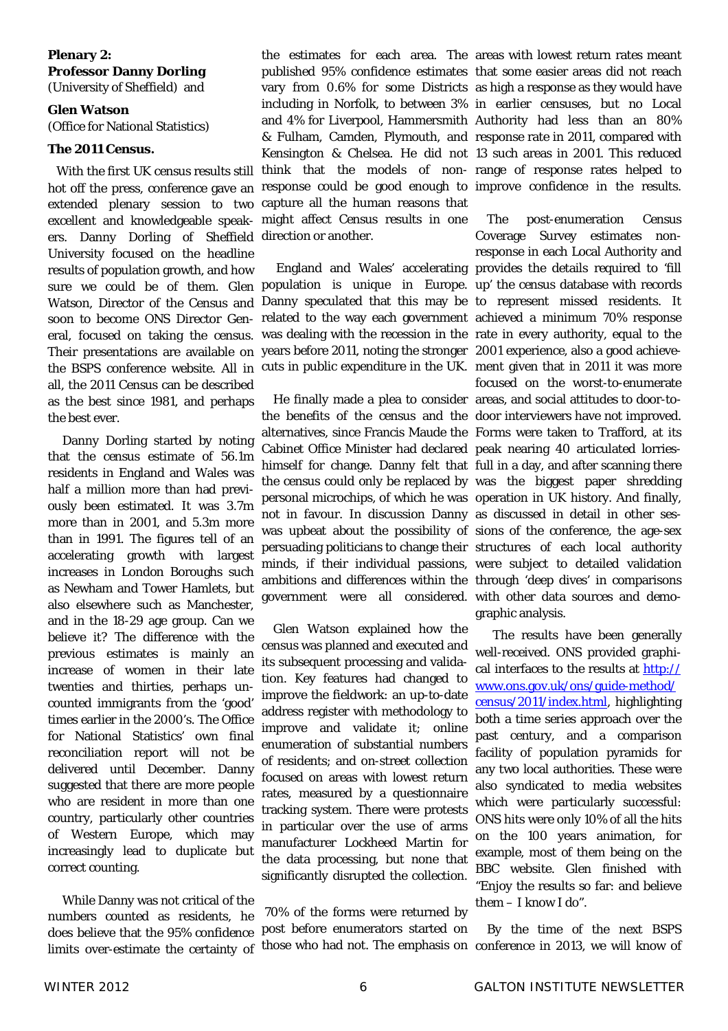#### **Plenary 2: Professor Danny Dorling**

(University of Sheffield) and

#### **Glen Watson**

(Office for National Statistics)

#### *The 2011 Census***.**

With the first UK census results still extended plenary session to two capture all the human reasons that excellent and knowledgeable speak-might affect Census results in one ers. Danny Dorling of Sheffield direction or another. University focused on the headline results of population growth, and how Watson, Director of the Census and soon to become ONS Director General, focused on taking the census. all, the 2011 Census can be described as the best since 1981, and perhaps the best ever.

 Danny Dorling started by noting that the census estimate of 56.1m residents in England and Wales was half a million more than had previously been estimated. It was 3.7m more than in 2001, and 5.3m more than in 1991. The figures tell of an accelerating growth with largest increases in London Boroughs such as Newham and Tower Hamlets, but also elsewhere such as Manchester, and in the 18-29 age group. Can we believe it? The difference with the previous estimates is mainly an increase of women in their late twenties and thirties, perhaps uncounted immigrants from the 'good' times earlier in the 2000's. The Office for National Statistics' own final reconciliation report will not be delivered until December. Danny suggested that there are more people who are resident in more than one country, particularly other countries of Western Europe, which may increasingly lead to duplicate but correct counting.

 While Danny was not critical of the numbers counted as residents, he does believe that the 95% confidence limits over-estimate the certainty of

hot off the press, conference gave an response could be good enough to improve confidence in the results. the estimates for each area. The areas with lowest return rates meant published 95% confidence estimates that some easier areas did not reach vary from 0.6% for some Districts as high a response as they would have including in Norfolk, to between 3% in earlier censuses, but no Local and 4% for Liverpool, Hammersmith Authority had less than an 80% & Fulham, Camden, Plymouth, and response rate in 2011, compared with Kensington & Chelsea. He did not 13 such areas in 2001. This reduced think that the models of non-range of response rates helped to

sure we could be of them. Glen population is unique in Europe. up' the census database with records Their presentations are available on years before 2011, noting the stronger 2001 experience, also a good achievethe BSPS conference website. All in cuts in public expenditure in the UK. ment given that in 2011 it was more England and Wales' accelerating provides the details required to 'fill Danny speculated that this may be to represent missed residents. It related to the way each government achieved a minimum 70% response was dealing with the recession in the rate in every authority, equal to the

> He finally made a plea to consider areas, and social attitudes to door-tothe benefits of the census and the door interviewers have not improved. alternatives, since Francis Maude the Forms were taken to Trafford, at its Cabinet Office Minister had declared peak nearing 40 articulated lorrieshimself for change. Danny felt that full in a day, and after scanning there the census could only be replaced by was the biggest paper shredding personal microchips, of which he was operation in UK history. And finally, not in favour. In discussion Danny as discussed in detail in other seswas upbeat about the possibility of sions of the conference, the age-sex persuading politicians to change their structures of each local authority minds, if their individual passions, were subject to detailed validation ambitions and differences within the through 'deep dives' in comparisons government were all considered. with other data sources and demo-

 Glen Watson explained how the census was planned and executed and its subsequent processing and validation. Key features had changed to improve the fieldwork: an up-to-date address register with methodology to improve and validate it; online enumeration of substantial numbers of residents; and on-street collection focused on areas with lowest return rates, measured by a questionnaire tracking system. There were protests in particular over the use of arms manufacturer Lockheed Martin for the data processing, but none that significantly disrupted the collection.

 70% of the forms were returned by post before enumerators started on

 The post-enumeration Census Coverage Survey estimates nonresponse in each Local Authority and focused on the worst-to-enumerate graphic analysis.

 The results have been generally well-received. ONS provided graphical interfaces to the results at http:// www.ons.gov.uk/ons/guide-method/ census/2011/index.html, highlighting both a time series approach over the past century, and a comparison facility of population pyramids for any two local authorities. These were also syndicated to media websites which were particularly successful: ONS hits were only 10% of all the hits on the 100 years animation, for example, most of them being on the BBC website. Glen finished with "Enjoy the results so far: and believe them – I know I do".

those who had not. The emphasis on conference in 2013, we will know of By the time of the next BSPS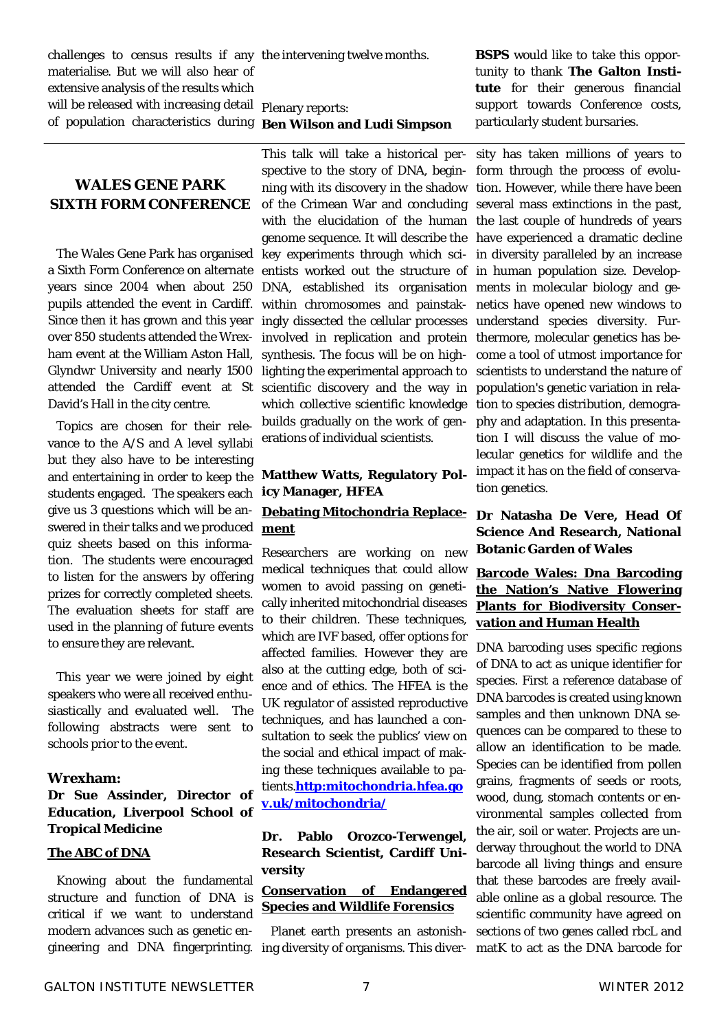challenges to census results if any the intervening twelve months. materialise. But we will also hear of extensive analysis of the results which will be released with increasing detail plenary reports: of population characteristics during **Ben Wilson and Ludi Simpson**

#### **WALES GENE PARK SIXTH FORM CONFERENCE**

The Wales Gene Park has organised a Sixth Form Conference on alternate years since 2004 when about 250 pupils attended the event in Cardiff. Since then it has grown and this year over 850 students attended the Wrexham event at the William Aston Hall, Glyndwr University and nearly 1500 attended the Cardiff event at St David's Hall in the city centre.

Topics are chosen for their relevance to the A/S and A level syllabi but they also have to be interesting and entertaining in order to keep the students engaged. The speakers each give us 3 questions which will be answered in their talks and we produced quiz sheets based on this information. The students were encouraged to listen for the answers by offering prizes for correctly completed sheets. The evaluation sheets for staff are used in the planning of future events to ensure they are relevant.

 This year we were joined by eight speakers who were all received enthusiastically and evaluated well. The following abstracts were sent to schools prior to the event.

#### **Wrexham:**

**Dr Sue Assinder, Director of Education, Liverpool School of Tropical Medicine**

#### **The ABC of DNA**

Knowing about the fundamental structure and function of DNA is critical if we want to understand modern advances such as genetic engineering and DNA fingerprinting.

This talk will take a historical perspective to the story of DNA, beginning with its discovery in the shadow of the Crimean War and concluding with the elucidation of the human genome sequence. It will describe the key experiments through which scientists worked out the structure of DNA, established its organisation within chromosomes and painstakingly dissected the cellular processes involved in replication and protein synthesis. The focus will be on highlighting the experimental approach to scientific discovery and the way in which collective scientific knowledge builds gradually on the work of generations of individual scientists.

#### **Matthew Watts, Regulatory Policy Manager, HFEA**

#### **Debating Mitochondria Replace-Dr Natasha De Vere, Head Of ment**

Researchers are working on new medical techniques that could allow women to avoid passing on genetically inherited mitochondrial diseases to their children. These techniques, which are IVF based, offer options for affected families. However they are also at the cutting edge, both of science and of ethics. The HFEA is the UK regulator of assisted reproductive techniques, and has launched a consultation to seek the publics' view on the social and ethical impact of making these techniques available to patients.**http:mitochondria.hfea.go v.uk/mitochondria/**

#### **Dr. Pablo Orozco-Terwengel, Research Scientist, Cardiff University**

#### **Conservation of Endangered Species and Wildlife Forensics**

Planet earth presents an astonishing diversity of organisms. This diver-matK to act as the DNA barcode for

**BSPS** would like to take this opportunity to thank **The Galton Institute** for their generous financial support towards Conference costs, particularly student bursaries.

sity has taken millions of years to form through the process of evolution. However, while there have been several mass extinctions in the past, the last couple of hundreds of years have experienced a dramatic decline in diversity paralleled by an increase in human population size. Developments in molecular biology and genetics have opened new windows to understand species diversity. Furthermore, molecular genetics has become a tool of utmost importance for scientists to understand the nature of population's genetic variation in relation to species distribution, demography and adaptation. In this presentation I will discuss the value of molecular genetics for wildlife and the impact it has on the field of conservation genetics.

## **Science And Research, National Botanic Garden of Wales**

#### **Barcode Wales: Dna Barcoding the Nation's Native Flowering Plants for Biodiversity Conservation and Human Health**

DNA barcoding uses specific regions of DNA to act as unique identifier for species. First a reference database of DNA barcodes is created using known samples and then unknown DNA sequences can be compared to these to allow an identification to be made. Species can be identified from pollen grains, fragments of seeds or roots, wood, dung, stomach contents or environmental samples collected from the air, soil or water. Projects are underway throughout the world to DNA barcode all living things and ensure that these barcodes are freely available online as a global resource. The scientific community have agreed on sections of two genes called rbcL and